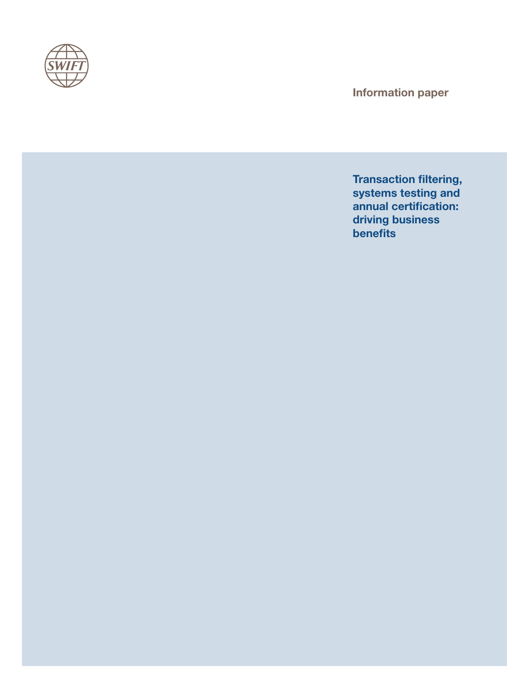

**Information paper**

**Transaction filtering, systems testing and annual certification: driving business benefits**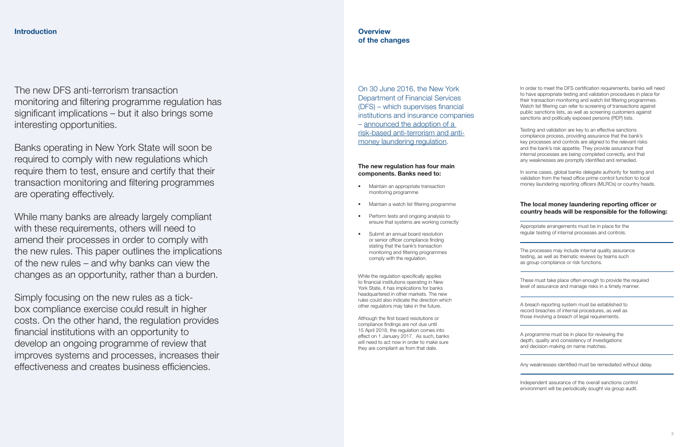The new DFS anti-terrorism transaction monitoring and filtering programme regulation has significant implications – but it also brings some interesting opportunities.

Banks operating in New York State will soon be required to comply with new regulations which require them to test, ensure and certify that their transaction monitoring and filtering programmes are operating effectively.

While many banks are already largely compliant with these requirements, others will need to amend their processes in order to comply with the new rules. This paper outlines the implications of the new rules – and why banks can view the changes as an opportunity, rather than a burden.

- Maintain an appropriate transaction monitoring programme
- Maintain a watch list filtering programme
- Perform tests and ongoing analysis to ensure that systems are working correctly
- Submit an annual board resolution or senior officer compliance finding stating that the bank's transaction monitoring and filtering programmes comply with the regulation.

Simply focusing on the new rules as a tickbox compliance exercise could result in higher costs. On the other hand, the regulation provides financial institutions with an opportunity to develop an ongoing programme of review that improves systems and processes, increases their effectiveness and creates business efficiencies.

Although the first board resolutions or compliance findings are not due until 15 April 2018, the regulation comes into effect on 1 January 2017. As such, banks will need to act now in order to make sure they are compliant as from that date

# **Overview of the changes**

## **The new regulation has four main components. Banks need to:**

In some cases, global banks delegate authority for testing and validation from the head office prime control function to local money laundering reporting officers (MLROs) or country heads.

While the regulation specifically applies to financial institutions operating in New York State, it has implications for banks headquartered in other markets. The new rules could also indicate the direction which other regulators may take in the future.

In order to meet the DFS certification requirements, banks will need to have appropriate testing and validation procedures in place for their transaction monitoring and watch list filtering programmes. Watch list filtering can refer to screening of transactions against public sanctions lists, as well as screening customers against sanctions and politically exposed persons (PEP) lists.

Testing and validation are key to an effective sanctions compliance process, providing assurance that the bank's key processes and controls are aligned to the relevant risks and the bank's risk appetite. They provide assurance that internal processes are being completed correctly, and that any weaknesses are promptly identified and remedied.

# **The local money laundering reporting officer or country heads will be responsible for the following:**

Appropriate arrangements must be in place for the regular testing of internal processes and controls.

The processes may include internal quality assurance testing, as well as thematic reviews by teams such as group compliance or risk functions.

These must take place often enough to provide the required level of assurance and manage risks in a timely manner.

A breach reporting system must be established to record breaches of internal procedures, as well as those involving a breach of legal requirements.

A programme must be in place for reviewing the depth, quality and consistency of investigations and decision-making on name matches.

Any weaknesses identified must be remediated without delay.

Independent assurance of the overall sanctions control environment will be periodically sought via group audit.

On 30 June 2016, the New York Department of Financial Services (DFS) – which supervises financial institutions and insurance companies – [announced the adoption of a](http://www.dfs.ny.gov/about/press/pr1606301.htm)  [risk-based anti-terrorism and anti](http://www.dfs.ny.gov/about/press/pr1606301.htm)[money laundering regulation.](http://www.dfs.ny.gov/about/press/pr1606301.htm)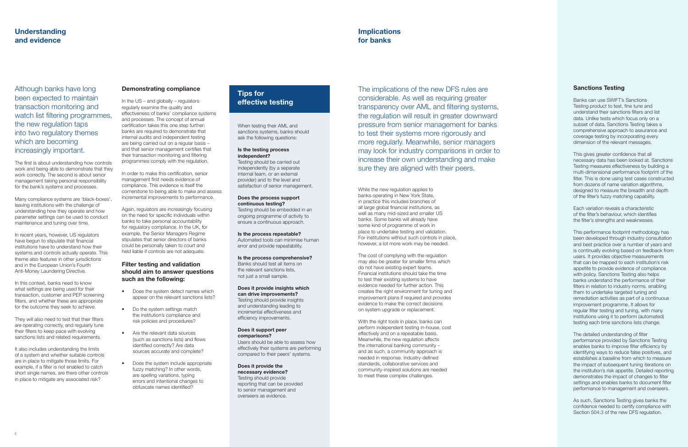While the new regulation applies to banks operating in New York State, in practice this includes branches of all large global financial institutions, as well as many mid-sized and smaller US banks. Some banks will already have some kind of programme of work in place to undertake testing and validation. For institutions without such controls in place, however, a lot more work may be needed.

The cost of complying with the regulation may also be greater for smaller firms which do not have existing expert teams. Financial institutions should take the time to test their existing systems to have evidence needed for further action. This creates the right environment for tuning and improvement plans if required and provides evidence to make the correct decisions on system upgrade or replacement.

This gives greater confidence that all necessary data has been looked at. Sanctions Testing measures effectiveness by building a multi-dimensional performance footprint of the filter. This is done using test cases constructed from dozens of name variation algorithms, designed to measure the breadth and depth of the filter's fuzzy matching capability.

With the right tools in place, banks can perform independent testing in-house, cost effectively and on a repeatable basis. Meanwhile, the new regulation affects the international banking community – and as such, a community approach is needed in response. Industry-defined standards, collaborative services and community-inspired solutions are needed to meet these complex challenges.

# **Tips for effective testing**

## **Sanctions Testing**

Banks can use SWIFT's Sanctions Testing product to test, fine tune and understand their sanctions filters and list data. Unlike tests which focus only on a subset of data, Sanctions Testing takes a comprehensive approach to assurance and coverage testing by incorporating every dimension of the relevant messages.

Each variation reveals a characteristic of the filter's behaviour, which identifies the filter's strengths and weaknesses.

They will also need to test that their filters are operating correctly, and regularly tune their filters to keep pace with evolving sanctions lists and related requirements.

This performance footprint methodology has been developed through industry consultation and best practice over a number of years and is continually evolving based on feedback from users. It provides objective measurements that can be mapped to each institution's risk appetite to provide evidence of compliance with policy. Sanctions Testing also helps banks understand the performance of their filters in relation to industry norms, enabling them to undertake targeted tuning and remediation activities as part of a continuous improvement programme. It allows for regular filter testing and tuning, with many institutions using it to perform (automated) testing each time sanctions lists change.

The detailed understanding of filter performance provided by Sanctions Testing enables banks to improve filter efficiency by identifying ways to reduce false positives, and establishes a baseline from which to measure the impact of subsequent tuning iterations on the institution's risk appetite. Detailed reporting demonstrates the impact of changes to filter settings and enables banks to document filter performance to management and overseers.

As such, Sanctions Testing gives banks the confidence needed to certify compliance with Section 504.3 of the new DFS regulation.

Although banks have long been expected to maintain transaction monitoring and watch list filtering programmes, the new regulation taps into two regulatory themes which are becoming increasingly important.

The first is about understanding how controls work and being able to demonstrate that they work correctly. The second is about senior management taking personal responsibility for the bank's systems and processes.

Many compliance systems are 'black-boxes', leaving institutions with the challenge of understanding how they operate and how parameter settings can be used to conduct maintenance and tuning over time.

In recent years, however, US regulators have begun to stipulate that financial institutions have to understand how their systems and controls actually operate. This theme also features in other jurisdictions and in the European Union's Fourth Anti-Money Laundering Directive.

In this context, banks need to know what settings are being used for their transaction, customer and PEP screening filters, and whether these are appropriate for the outcome they seek to achieve.

It also includes understanding the limits of a system and whether suitable controls are in place to mitigate those limits. For example, if a filter is not enabled to catch short single names, are there other controls in place to mitigate any associated risk?

# **Implications for banks**

# **Demonstrating compliance**

In the US – and globally – regulators regularly examine the quality and effectiveness of banks' compliance systems and processes. The concept of annual certification takes this one step further: banks are required to demonstrate that internal audits and independent testing are being carried out on a regular basis – and that senior management certifies that their transaction monitoring and filtering programmes comply with the regulation.

In order to make this certification, senior management first needs evidence of compliance. This evidence is itself the cornerstone to being able to make and assess incremental improvements to performance.

Again, regulators are increasingly focusing on the need for specific individuals within banks to take personal accountability for regulatory compliance. In the UK, for example, the Senior Managers Regime stipulates that senior directors of banks could be personally taken to court and held liable if controls are not adequate.

## **Filter testing and validation should aim to answer questions such as the following:**

- Does the system detect names which appear on the relevant sanctions lists?
- Do the system settings match the institution's compliance and risk policies and procedures?
- Are the relevant data sources (such as sanctions lists) and flows identified correctly? Are data sources accurate and complete?
- Does the system include appropriate fuzzy matching? In other words, are spelling variations, typing errors and intentional changes to obfuscate names identified?

When testing their AML and sanctions systems, banks should ask the following questions:

### **Is the testing process independent?**

Testing should be carried out independently (by a separate internal team, or an external provider) and to the level and satisfaction of senior management.

## **Does the process support continuous testing?**

Testing should be embedded in an ongoing programme of activity to ensure a continuous approach.

**Is the process repeatable?** Automated tools can minimise human error and provide repeatability.

### **Is the process comprehensive?** Banks should test all items on the relevant sanctions lists, not just a small sample.

**Does it provide insights which can drive improvements?** Testing should provide insights and understanding leading to incremental effectiveness and efficiency improvements.

#### **Does it support peer comparisons?**

Users should be able to assess how effectively their systems are performing compared to their peers' systems.

### **Does it provide the necessary evidence?**

Testing should provide reporting that can be provided to senior management and overseers as evidence.

The implications of the new DFS rules are considerable. As well as requiring greater transparency over AML and filtering systems, the regulation will result in greater downward pressure from senior management for banks to test their systems more rigorously and more regularly. Meanwhile, senior managers may look for industry comparisons in order to increase their own understanding and make sure they are aligned with their peers.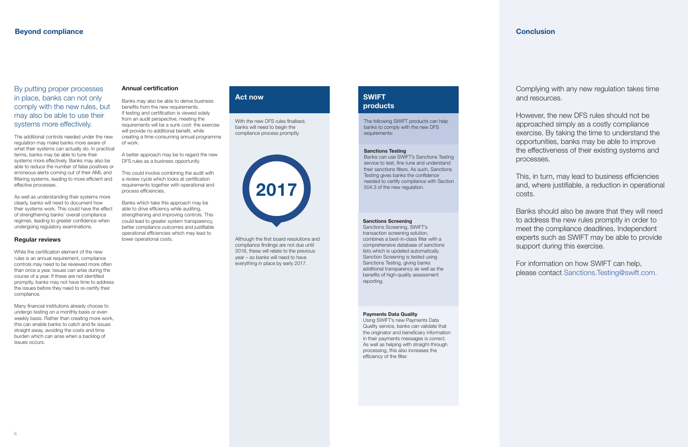

# By putting proper processes in place, banks can not only comply with the new rules, but may also be able to use their systems more effectively.

The additional controls needed under the new regulation may make banks more aware of what their systems can actually do. In practical terms, banks may be able to tune their systems more effectively. Banks may also be able to reduce the number of false positives or erroneous alerts coming out of their AML and filtering systems, leading to more efficient and effective processes.

As well as understanding their systems more clearly, banks will need to document how their systems work. This could have the effect of strengthening banks' overall compliance regimes, leading to greater confidence when undergoing regulatory examinations.

## **Regular reviews**

While the certification element of the new rules is an annual requirement, compliance controls may need to be reviewed more often than once a year. Issues can arise during the course of a year. If these are not identified promptly, banks may not have time to address the issues before they need to re-certify their compliance.

Many financial institutions already choose to undergo testing on a monthly basis or even weekly basis. Rather than creating more work, this can enable banks to catch and fix issues straight away, avoiding the costs and time burden which can arise when a backlog of issues occurs.

Complying with any new regulation takes time

and resources.

However, the new DFS rules should not be approached simply as a costly compliance exercise. By taking the time to understand the opportunities, banks may be able to improve the effectiveness of their existing systems and processes.

This, in turn, may lead to business efficiencies and, where justifiable, a reduction in operational

costs.

Banks should also be aware that they will need to address the new rules promptly in order to meet the compliance deadlines. Independent experts such as SWIFT may be able to provide support during this exercise.

For information on how SWIFT can help, please contact [Sanctions.Testing@swift.com.](mailto:Sanctions.Testing%40swift.com.?subject=)

#### **Sanctions Testing**

Banks can use SWIFT's Sanctions Testing service to test, fine tune and understand their sanctions filters. As such, Sanctions Testing gives banks the confidence needed to certify compliance with Section 504.3 of the new regulation.

#### **Sanctions Screening**

Sanctions Screening, SWIFT's transaction screening solution, combines a best-in-class filter with a comprehensive database of sanctions lists which is updated automatically. Sanction Screening is tested using Sanctions Testing, giving banks additional transparency as well as the benefits of high-quality assessment reporting.

#### **Payments Data Quality**

Using SWIFT's new Payments Data Quality service, banks can validate that the originator and beneficiary information in their payments messages is correct. As well as helping with straight-through processing, this also increases the efficiency of the filter.

# **Annual certification**

Banks may also be able to derive business benefits from the new requirements. If testing and certification is viewed solely from an audit perspective, meeting the requirements will be a sunk cost: the exercise will provide no additional benefit, while creating a time-consuming annual programme of work.

A better approach may be to regard the new DFS rules as a business opportunity.

This could involve combining the audit with a review cycle which looks at certification requirements together with operational and process efficiencies.

Banks which take this approach may be able to drive efficiency while auditing, strengthening and improving controls. This could lead to greater system transparency, better compliance outcomes and justifiable operational efficiencies which may lead to lower operational costs.

With the new DFS rules finalised, banks will need to begin the compliance process promptly.

# **Act now**



Although the first board resolutions and compliance findings are not due until 2018, these will relate to the previous year – so banks will need to have everything in place by early 2017.

The following SWIFT products can help banks to comply with the new DFS requirements:

# **SWIFT products**